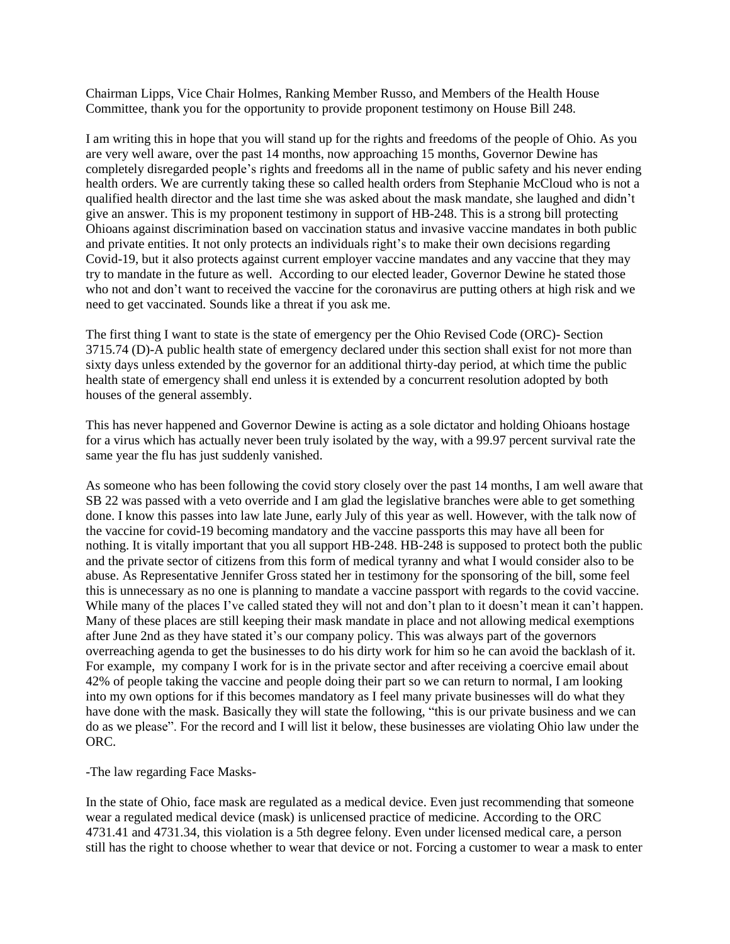Chairman Lipps, Vice Chair Holmes, Ranking Member Russo, and Members of the Health House Committee, thank you for the opportunity to provide proponent testimony on House Bill 248.

I am writing this in hope that you will stand up for the rights and freedoms of the people of Ohio. As you are very well aware, over the past 14 months, now approaching 15 months, Governor Dewine has completely disregarded people's rights and freedoms all in the name of public safety and his never ending health orders. We are currently taking these so called health orders from Stephanie McCloud who is not a qualified health director and the last time she was asked about the mask mandate, she laughed and didn't give an answer. This is my proponent testimony in support of HB-248. This is a strong bill protecting Ohioans against discrimination based on vaccination status and invasive vaccine mandates in both public and private entities. It not only protects an individuals right's to make their own decisions regarding Covid-19, but it also protects against current employer vaccine mandates and any vaccine that they may try to mandate in the future as well. According to our elected leader, Governor Dewine he stated those who not and don't want to received the vaccine for the coronavirus are putting others at high risk and we need to get vaccinated. Sounds like a threat if you ask me.

The first thing I want to state is the state of emergency per the Ohio Revised Code (ORC)- Section 3715.74 (D)-A public health state of emergency declared under this section shall exist for not more than sixty days unless extended by the governor for an additional thirty-day period, at which time the public health state of emergency shall end unless it is extended by a concurrent resolution adopted by both houses of the general assembly.

This has never happened and Governor Dewine is acting as a sole dictator and holding Ohioans hostage for a virus which has actually never been truly isolated by the way, with a 99.97 percent survival rate the same year the flu has just suddenly vanished.

As someone who has been following the covid story closely over the past 14 months, I am well aware that SB 22 was passed with a veto override and I am glad the legislative branches were able to get something done. I know this passes into law late June, early July of this year as well. However, with the talk now of the vaccine for covid-19 becoming mandatory and the vaccine passports this may have all been for nothing. It is vitally important that you all support HB-248. HB-248 is supposed to protect both the public and the private sector of citizens from this form of medical tyranny and what I would consider also to be abuse. As Representative Jennifer Gross stated her in testimony for the sponsoring of the bill, some feel this is unnecessary as no one is planning to mandate a vaccine passport with regards to the covid vaccine. While many of the places I've called stated they will not and don't plan to it doesn't mean it can't happen. Many of these places are still keeping their mask mandate in place and not allowing medical exemptions after June 2nd as they have stated it's our company policy. This was always part of the governors overreaching agenda to get the businesses to do his dirty work for him so he can avoid the backlash of it. For example, my company I work for is in the private sector and after receiving a coercive email about 42% of people taking the vaccine and people doing their part so we can return to normal, I am looking into my own options for if this becomes mandatory as I feel many private businesses will do what they have done with the mask. Basically they will state the following, "this is our private business and we can do as we please". For the record and I will list it below, these businesses are violating Ohio law under the ORC.

-The law regarding Face Masks-

In the state of Ohio, face mask are regulated as a medical device. Even just recommending that someone wear a regulated medical device (mask) is unlicensed practice of medicine. According to the ORC 4731.41 and 4731.34, this violation is a 5th degree felony. Even under licensed medical care, a person still has the right to choose whether to wear that device or not. Forcing a customer to wear a mask to enter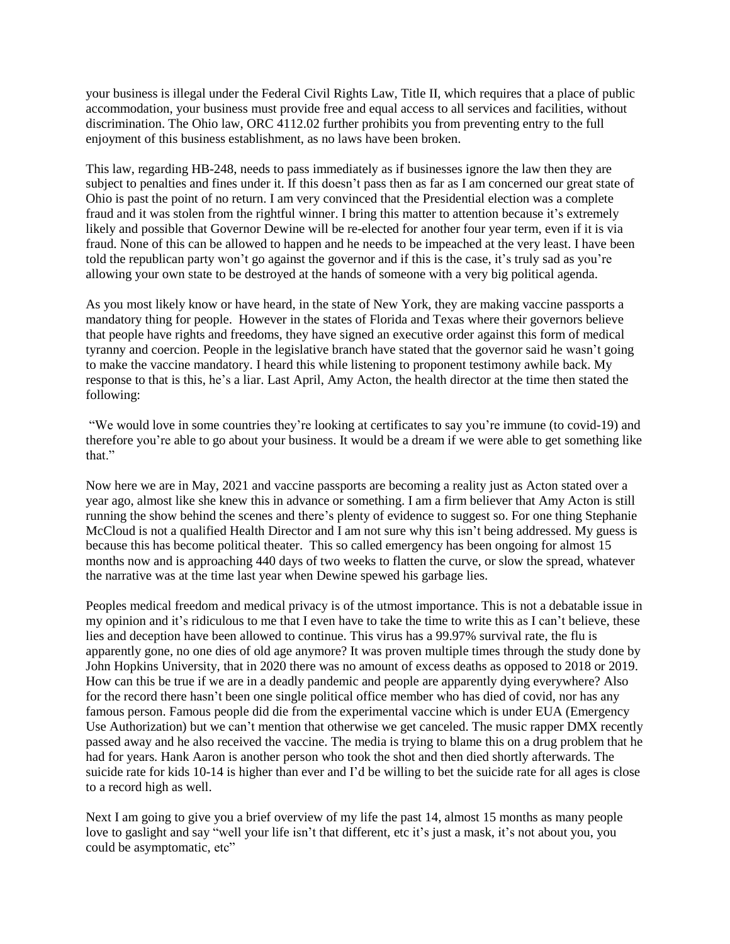your business is illegal under the Federal Civil Rights Law, Title II, which requires that a place of public accommodation, your business must provide free and equal access to all services and facilities, without discrimination. The Ohio law, ORC 4112.02 further prohibits you from preventing entry to the full enjoyment of this business establishment, as no laws have been broken.

This law, regarding HB-248, needs to pass immediately as if businesses ignore the law then they are subject to penalties and fines under it. If this doesn't pass then as far as I am concerned our great state of Ohio is past the point of no return. I am very convinced that the Presidential election was a complete fraud and it was stolen from the rightful winner. I bring this matter to attention because it's extremely likely and possible that Governor Dewine will be re-elected for another four year term, even if it is via fraud. None of this can be allowed to happen and he needs to be impeached at the very least. I have been told the republican party won't go against the governor and if this is the case, it's truly sad as you're allowing your own state to be destroyed at the hands of someone with a very big political agenda.

As you most likely know or have heard, in the state of New York, they are making vaccine passports a mandatory thing for people. However in the states of Florida and Texas where their governors believe that people have rights and freedoms, they have signed an executive order against this form of medical tyranny and coercion. People in the legislative branch have stated that the governor said he wasn't going to make the vaccine mandatory. I heard this while listening to proponent testimony awhile back. My response to that is this, he's a liar. Last April, Amy Acton, the health director at the time then stated the following:

"We would love in some countries they're looking at certificates to say you're immune (to covid-19) and therefore you're able to go about your business. It would be a dream if we were able to get something like that."

Now here we are in May, 2021 and vaccine passports are becoming a reality just as Acton stated over a year ago, almost like she knew this in advance or something. I am a firm believer that Amy Acton is still running the show behind the scenes and there's plenty of evidence to suggest so. For one thing Stephanie McCloud is not a qualified Health Director and I am not sure why this isn't being addressed. My guess is because this has become political theater. This so called emergency has been ongoing for almost 15 months now and is approaching 440 days of two weeks to flatten the curve, or slow the spread, whatever the narrative was at the time last year when Dewine spewed his garbage lies.

Peoples medical freedom and medical privacy is of the utmost importance. This is not a debatable issue in my opinion and it's ridiculous to me that I even have to take the time to write this as I can't believe, these lies and deception have been allowed to continue. This virus has a 99.97% survival rate, the flu is apparently gone, no one dies of old age anymore? It was proven multiple times through the study done by John Hopkins University, that in 2020 there was no amount of excess deaths as opposed to 2018 or 2019. How can this be true if we are in a deadly pandemic and people are apparently dying everywhere? Also for the record there hasn't been one single political office member who has died of covid, nor has any famous person. Famous people did die from the experimental vaccine which is under EUA (Emergency Use Authorization) but we can't mention that otherwise we get canceled. The music rapper DMX recently passed away and he also received the vaccine. The media is trying to blame this on a drug problem that he had for years. Hank Aaron is another person who took the shot and then died shortly afterwards. The suicide rate for kids 10-14 is higher than ever and I'd be willing to bet the suicide rate for all ages is close to a record high as well.

Next I am going to give you a brief overview of my life the past 14, almost 15 months as many people love to gaslight and say "well your life isn't that different, etc it's just a mask, it's not about you, you could be asymptomatic, etc"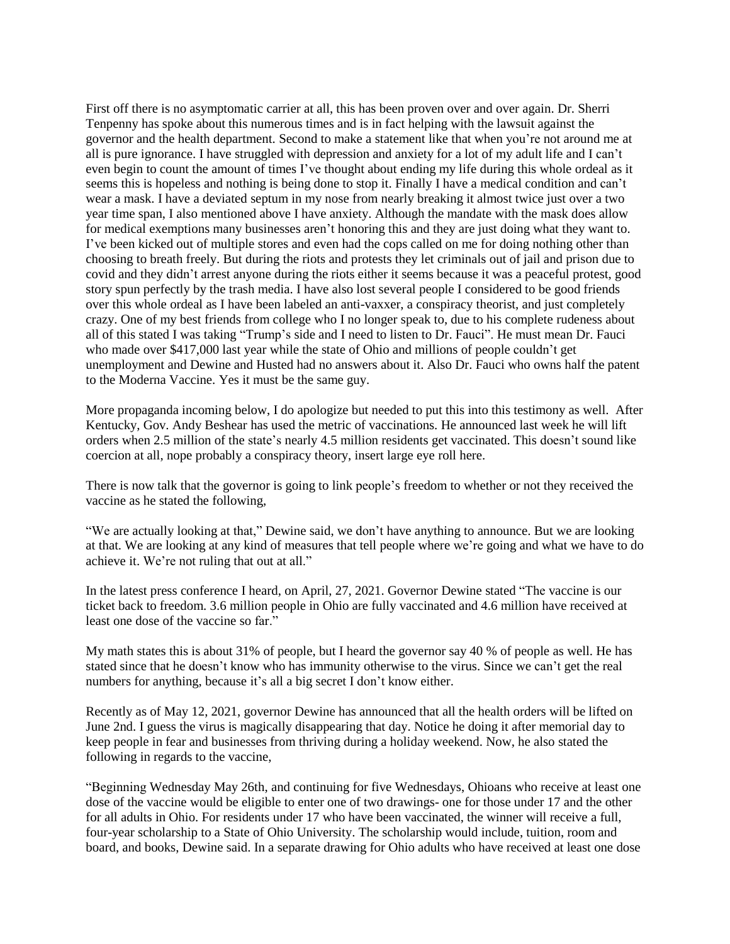First off there is no asymptomatic carrier at all, this has been proven over and over again. Dr. Sherri Tenpenny has spoke about this numerous times and is in fact helping with the lawsuit against the governor and the health department. Second to make a statement like that when you're not around me at all is pure ignorance. I have struggled with depression and anxiety for a lot of my adult life and I can't even begin to count the amount of times I've thought about ending my life during this whole ordeal as it seems this is hopeless and nothing is being done to stop it. Finally I have a medical condition and can't wear a mask. I have a deviated septum in my nose from nearly breaking it almost twice just over a two year time span, I also mentioned above I have anxiety. Although the mandate with the mask does allow for medical exemptions many businesses aren't honoring this and they are just doing what they want to. I've been kicked out of multiple stores and even had the cops called on me for doing nothing other than choosing to breath freely. But during the riots and protests they let criminals out of jail and prison due to covid and they didn't arrest anyone during the riots either it seems because it was a peaceful protest, good story spun perfectly by the trash media. I have also lost several people I considered to be good friends over this whole ordeal as I have been labeled an anti-vaxxer, a conspiracy theorist, and just completely crazy. One of my best friends from college who I no longer speak to, due to his complete rudeness about all of this stated I was taking "Trump's side and I need to listen to Dr. Fauci". He must mean Dr. Fauci who made over \$417,000 last year while the state of Ohio and millions of people couldn't get unemployment and Dewine and Husted had no answers about it. Also Dr. Fauci who owns half the patent to the Moderna Vaccine. Yes it must be the same guy.

More propaganda incoming below, I do apologize but needed to put this into this testimony as well. After Kentucky, Gov. Andy Beshear has used the metric of vaccinations. He announced last week he will lift orders when 2.5 million of the state's nearly 4.5 million residents get vaccinated. This doesn't sound like coercion at all, nope probably a conspiracy theory, insert large eye roll here.

There is now talk that the governor is going to link people's freedom to whether or not they received the vaccine as he stated the following,

"We are actually looking at that," Dewine said, we don't have anything to announce. But we are looking at that. We are looking at any kind of measures that tell people where we're going and what we have to do achieve it. We're not ruling that out at all."

In the latest press conference I heard, on April, 27, 2021. Governor Dewine stated "The vaccine is our ticket back to freedom. 3.6 million people in Ohio are fully vaccinated and 4.6 million have received at least one dose of the vaccine so far."

My math states this is about 31% of people, but I heard the governor say 40 % of people as well. He has stated since that he doesn't know who has immunity otherwise to the virus. Since we can't get the real numbers for anything, because it's all a big secret I don't know either.

Recently as of May 12, 2021, governor Dewine has announced that all the health orders will be lifted on June 2nd. I guess the virus is magically disappearing that day. Notice he doing it after memorial day to keep people in fear and businesses from thriving during a holiday weekend. Now, he also stated the following in regards to the vaccine,

"Beginning Wednesday May 26th, and continuing for five Wednesdays, Ohioans who receive at least one dose of the vaccine would be eligible to enter one of two drawings- one for those under 17 and the other for all adults in Ohio. For residents under 17 who have been vaccinated, the winner will receive a full, four-year scholarship to a State of Ohio University. The scholarship would include, tuition, room and board, and books, Dewine said. In a separate drawing for Ohio adults who have received at least one dose